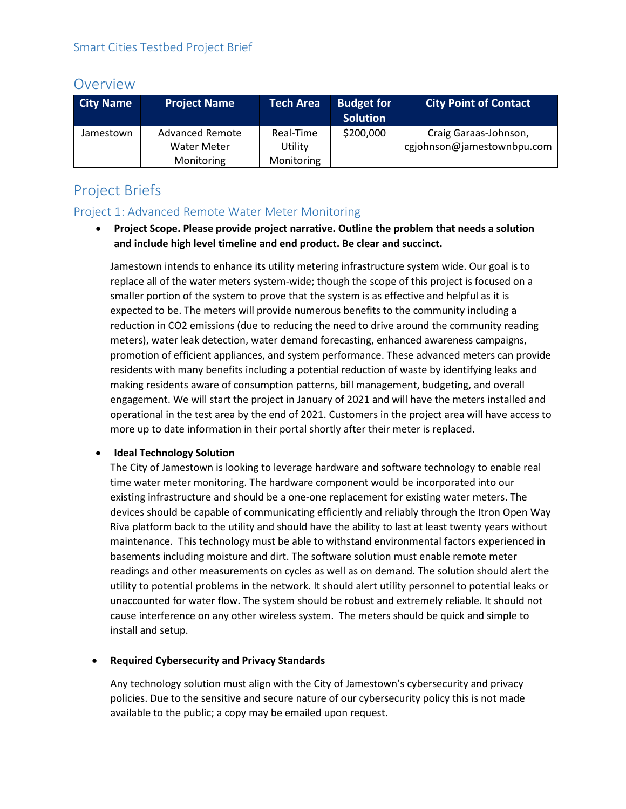## Overview

| <b>City Name</b> | <b>Project Name</b>    | <b>Tech Area</b> | <b>Budget for</b><br><b>Solution</b> | <b>City Point of Contact</b> |
|------------------|------------------------|------------------|--------------------------------------|------------------------------|
| Jamestown        | <b>Advanced Remote</b> | Real-Time        | \$200,000                            | Craig Garaas-Johnson,        |
|                  | Water Meter            | Utility          |                                      | cgjohnson@jamestownbpu.com   |
|                  | Monitoring             | Monitoring       |                                      |                              |

# Project Briefs

### Project 1: Advanced Remote Water Meter Monitoring

• **Project Scope. Please provide project narrative. Outline the problem that needs a solution and include high level timeline and end product. Be clear and succinct.**

Jamestown intends to enhance its utility metering infrastructure system wide. Our goal is to replace all of the water meters system-wide; though the scope of this project is focused on a smaller portion of the system to prove that the system is as effective and helpful as it is expected to be. The meters will provide numerous benefits to the community including a reduction in CO2 emissions (due to reducing the need to drive around the community reading meters), water leak detection, water demand forecasting, enhanced awareness campaigns, promotion of efficient appliances, and system performance. These advanced meters can provide residents with many benefits including a potential reduction of waste by identifying leaks and making residents aware of consumption patterns, bill management, budgeting, and overall engagement. We will start the project in January of 2021 and will have the meters installed and operational in the test area by the end of 2021. Customers in the project area will have access to more up to date information in their portal shortly after their meter is replaced.

#### • **Ideal Technology Solution**

The City of Jamestown is looking to leverage hardware and software technology to enable real time water meter monitoring. The hardware component would be incorporated into our existing infrastructure and should be a one-one replacement for existing water meters. The devices should be capable of communicating efficiently and reliably through the Itron Open Way Riva platform back to the utility and should have the ability to last at least twenty years without maintenance. This technology must be able to withstand environmental factors experienced in basements including moisture and dirt. The software solution must enable remote meter readings and other measurements on cycles as well as on demand. The solution should alert the utility to potential problems in the network. It should alert utility personnel to potential leaks or unaccounted for water flow. The system should be robust and extremely reliable. It should not cause interference on any other wireless system. The meters should be quick and simple to install and setup.

#### • **Required Cybersecurity and Privacy Standards**

Any technology solution must align with the City of Jamestown's cybersecurity and privacy policies. Due to the sensitive and secure nature of our cybersecurity policy this is not made available to the public; a copy may be emailed upon request.